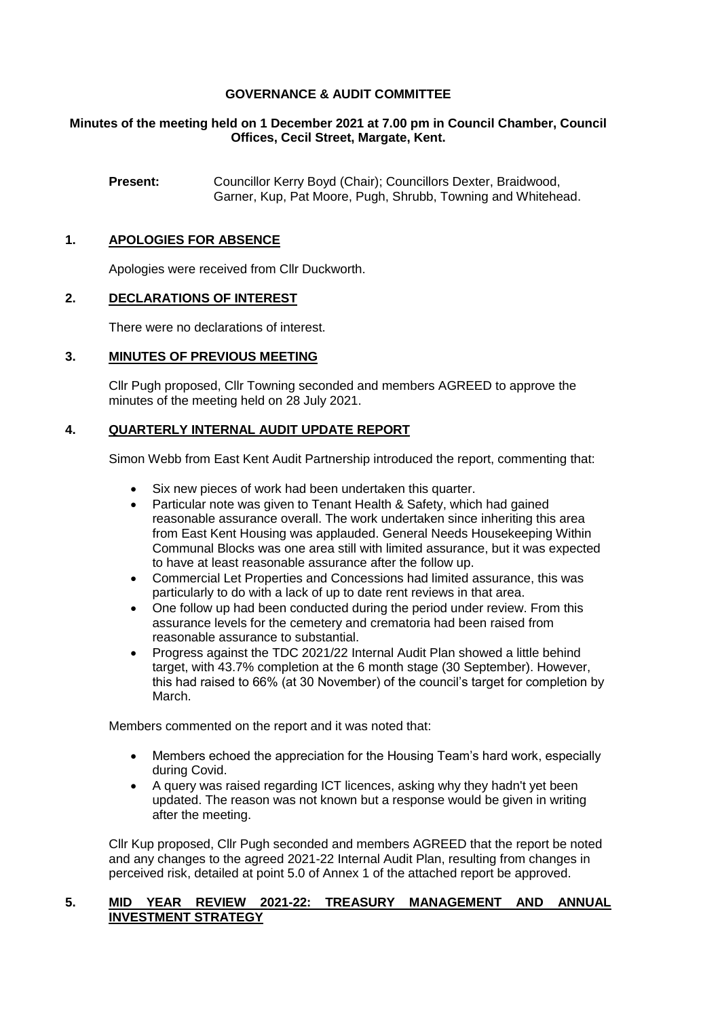## **GOVERNANCE & AUDIT COMMITTEE**

## **Minutes of the meeting held on 1 December 2021 at 7.00 pm in Council Chamber, Council Offices, Cecil Street, Margate, Kent.**

**Present:** Councillor Kerry Boyd (Chair); Councillors Dexter, Braidwood, Garner, Kup, Pat Moore, Pugh, Shrubb, Towning and Whitehead.

## **1. APOLOGIES FOR ABSENCE**

Apologies were received from Cllr Duckworth.

## **2. DECLARATIONS OF INTEREST**

There were no declarations of interest.

## **3. MINUTES OF PREVIOUS MEETING**

Cllr Pugh proposed, Cllr Towning seconded and members AGREED to approve the minutes of the meeting held on 28 July 2021.

## **4. QUARTERLY INTERNAL AUDIT UPDATE REPORT**

Simon Webb from East Kent Audit Partnership introduced the report, commenting that:

- Six new pieces of work had been undertaken this quarter.
- Particular note was given to Tenant Health & Safety, which had gained reasonable assurance overall. The work undertaken since inheriting this area from East Kent Housing was applauded. General Needs Housekeeping Within Communal Blocks was one area still with limited assurance, but it was expected to have at least reasonable assurance after the follow up.
- Commercial Let Properties and Concessions had limited assurance, this was particularly to do with a lack of up to date rent reviews in that area.
- One follow up had been conducted during the period under review. From this assurance levels for the cemetery and crematoria had been raised from reasonable assurance to substantial.
- Progress against the TDC 2021/22 Internal Audit Plan showed a little behind target, with 43.7% completion at the 6 month stage (30 September). However, this had raised to 66% (at 30 November) of the council's target for completion by March.

Members commented on the report and it was noted that:

- Members echoed the appreciation for the Housing Team's hard work, especially during Covid.
- A query was raised regarding ICT licences, asking why they hadn't yet been updated. The reason was not known but a response would be given in writing after the meeting.

Cllr Kup proposed, Cllr Pugh seconded and members AGREED that the report be noted and any changes to the agreed 2021-22 Internal Audit Plan, resulting from changes in perceived risk, detailed at point 5.0 of Annex 1 of the attached report be approved.

#### **5. MID YEAR REVIEW 2021-22: TREASURY MANAGEMENT AND ANNUAL INVESTMENT STRATEGY**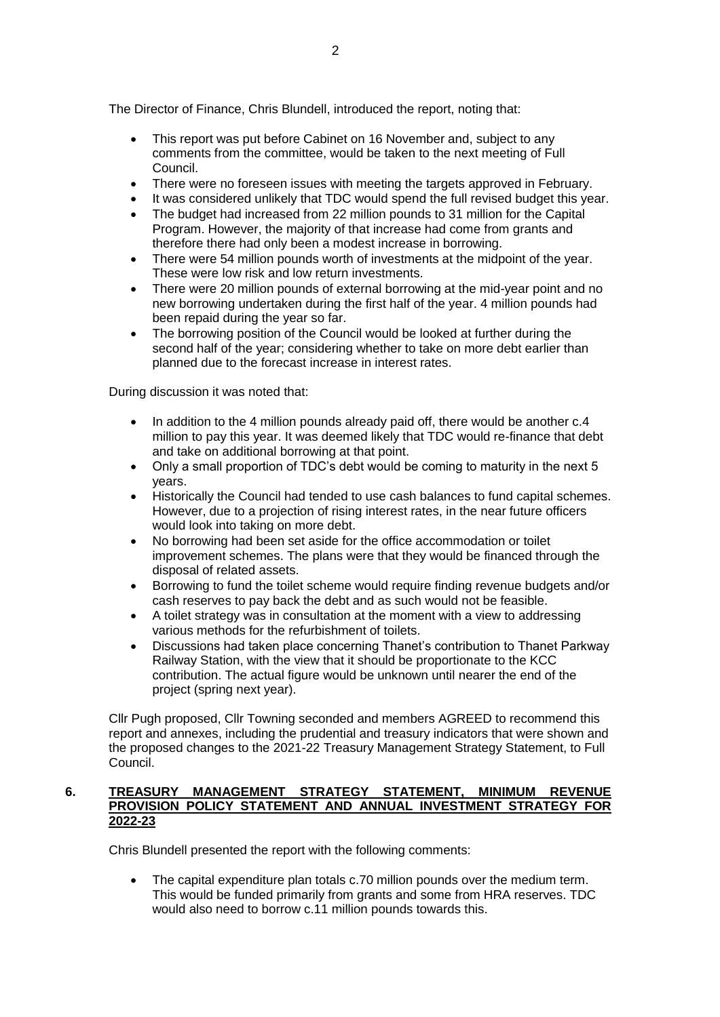The Director of Finance, Chris Blundell, introduced the report, noting that:

- This report was put before Cabinet on 16 November and, subject to any comments from the committee, would be taken to the next meeting of Full Council.
- There were no foreseen issues with meeting the targets approved in February.
- It was considered unlikely that TDC would spend the full revised budget this year.
- The budget had increased from 22 million pounds to 31 million for the Capital Program. However, the majority of that increase had come from grants and therefore there had only been a modest increase in borrowing.
- There were 54 million pounds worth of investments at the midpoint of the year. These were low risk and low return investments.
- There were 20 million pounds of external borrowing at the mid-year point and no new borrowing undertaken during the first half of the year. 4 million pounds had been repaid during the year so far.
- The borrowing position of the Council would be looked at further during the second half of the year; considering whether to take on more debt earlier than planned due to the forecast increase in interest rates.

During discussion it was noted that:

- In addition to the 4 million pounds already paid off, there would be another c.4 million to pay this year. It was deemed likely that TDC would re-finance that debt and take on additional borrowing at that point.
- Only a small proportion of TDC's debt would be coming to maturity in the next 5 years.
- Historically the Council had tended to use cash balances to fund capital schemes. However, due to a projection of rising interest rates, in the near future officers would look into taking on more debt.
- No borrowing had been set aside for the office accommodation or toilet improvement schemes. The plans were that they would be financed through the disposal of related assets.
- Borrowing to fund the toilet scheme would require finding revenue budgets and/or cash reserves to pay back the debt and as such would not be feasible.
- A toilet strategy was in consultation at the moment with a view to addressing various methods for the refurbishment of toilets.
- Discussions had taken place concerning Thanet's contribution to Thanet Parkway Railway Station, with the view that it should be proportionate to the KCC contribution. The actual figure would be unknown until nearer the end of the project (spring next year).

Cllr Pugh proposed, Cllr Towning seconded and members AGREED to recommend this report and annexes, including the prudential and treasury indicators that were shown and the proposed changes to the 2021-22 Treasury Management Strategy Statement, to Full Council.

#### **6. TREASURY MANAGEMENT STRATEGY STATEMENT, MINIMUM REVENUE PROVISION POLICY STATEMENT AND ANNUAL INVESTMENT STRATEGY FOR 2022-23**

Chris Blundell presented the report with the following comments:

 The capital expenditure plan totals c.70 million pounds over the medium term. This would be funded primarily from grants and some from HRA reserves. TDC would also need to borrow c.11 million pounds towards this.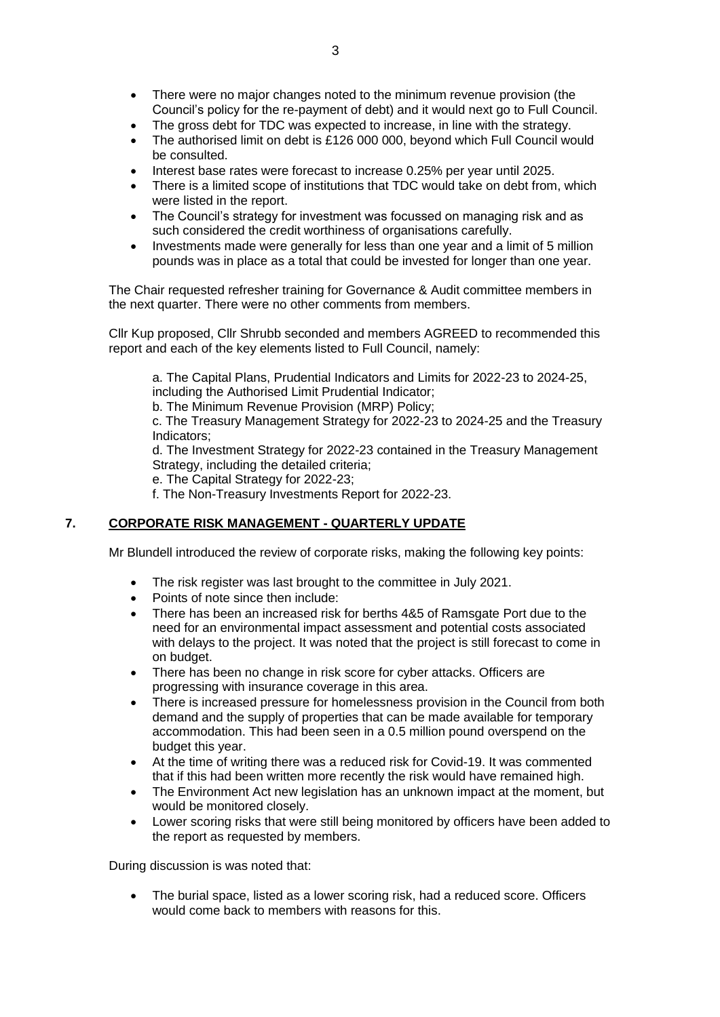- There were no major changes noted to the minimum revenue provision (the Council's policy for the re-payment of debt) and it would next go to Full Council.
- The gross debt for TDC was expected to increase, in line with the strategy.
- The authorised limit on debt is £126 000 000, beyond which Full Council would be consulted.
- Interest base rates were forecast to increase 0.25% per year until 2025.
- There is a limited scope of institutions that TDC would take on debt from, which were listed in the report.
- The Council's strategy for investment was focussed on managing risk and as such considered the credit worthiness of organisations carefully.
- Investments made were generally for less than one year and a limit of 5 million pounds was in place as a total that could be invested for longer than one year.

The Chair requested refresher training for Governance & Audit committee members in the next quarter. There were no other comments from members.

Cllr Kup proposed, Cllr Shrubb seconded and members AGREED to recommended this report and each of the key elements listed to Full Council, namely:

a. The Capital Plans, Prudential Indicators and Limits for 2022-23 to 2024-25, including the Authorised Limit Prudential Indicator;

b. The Minimum Revenue Provision (MRP) Policy;

c. The Treasury Management Strategy for 2022-23 to 2024-25 and the Treasury Indicators;

d. The Investment Strategy for 2022-23 contained in the Treasury Management Strategy, including the detailed criteria;

e. The Capital Strategy for 2022-23;

f. The Non-Treasury Investments Report for 2022-23.

#### **7. CORPORATE RISK MANAGEMENT - QUARTERLY UPDATE**

Mr Blundell introduced the review of corporate risks, making the following key points:

- The risk register was last brought to the committee in July 2021.
- Points of note since then include:
- There has been an increased risk for berths 4&5 of Ramsgate Port due to the need for an environmental impact assessment and potential costs associated with delays to the project. It was noted that the project is still forecast to come in on budget.
- There has been no change in risk score for cyber attacks. Officers are progressing with insurance coverage in this area.
- There is increased pressure for homelessness provision in the Council from both demand and the supply of properties that can be made available for temporary accommodation. This had been seen in a 0.5 million pound overspend on the budget this year.
- At the time of writing there was a reduced risk for Covid-19. It was commented that if this had been written more recently the risk would have remained high.
- The Environment Act new legislation has an unknown impact at the moment, but would be monitored closely.
- Lower scoring risks that were still being monitored by officers have been added to the report as requested by members.

During discussion is was noted that:

 The burial space, listed as a lower scoring risk, had a reduced score. Officers would come back to members with reasons for this.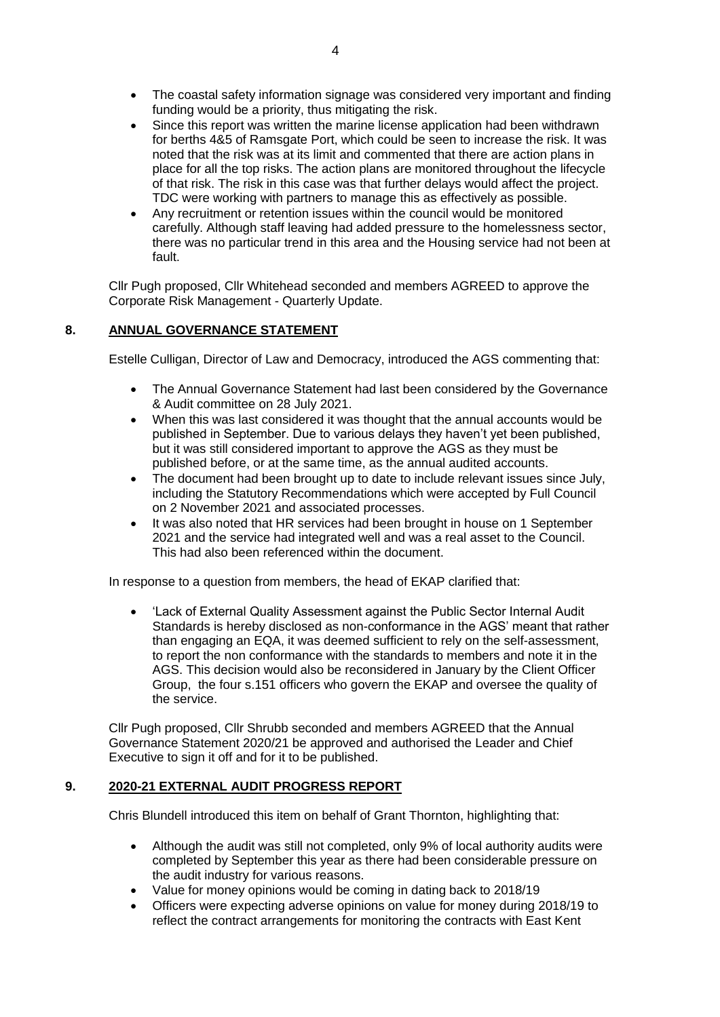- The coastal safety information signage was considered very important and finding funding would be a priority, thus mitigating the risk.
- Since this report was written the marine license application had been withdrawn for berths 4&5 of Ramsgate Port, which could be seen to increase the risk. It was noted that the risk was at its limit and commented that there are action plans in place for all the top risks. The action plans are monitored throughout the lifecycle of that risk. The risk in this case was that further delays would affect the project. TDC were working with partners to manage this as effectively as possible.
- Any recruitment or retention issues within the council would be monitored carefully. Although staff leaving had added pressure to the homelessness sector, there was no particular trend in this area and the Housing service had not been at fault.

Cllr Pugh proposed, Cllr Whitehead seconded and members AGREED to approve the Corporate Risk Management - Quarterly Update.

## **8. ANNUAL GOVERNANCE STATEMENT**

Estelle Culligan, Director of Law and Democracy, introduced the AGS commenting that:

- The Annual Governance Statement had last been considered by the Governance & Audit committee on 28 July 2021.
- When this was last considered it was thought that the annual accounts would be published in September. Due to various delays they haven't yet been published, but it was still considered important to approve the AGS as they must be published before, or at the same time, as the annual audited accounts.
- The document had been brought up to date to include relevant issues since July, including the Statutory Recommendations which were accepted by Full Council on 2 November 2021 and associated processes.
- It was also noted that HR services had been brought in house on 1 September 2021 and the service had integrated well and was a real asset to the Council. This had also been referenced within the document.

In response to a question from members, the head of EKAP clarified that:

 'Lack of External Quality Assessment against the Public Sector Internal Audit Standards is hereby disclosed as non-conformance in the AGS' meant that rather than engaging an EQA, it was deemed sufficient to rely on the self-assessment, to report the non conformance with the standards to members and note it in the AGS. This decision would also be reconsidered in January by the Client Officer Group, the four s.151 officers who govern the EKAP and oversee the quality of the service.

Cllr Pugh proposed, Cllr Shrubb seconded and members AGREED that the Annual Governance Statement 2020/21 be approved and authorised the Leader and Chief Executive to sign it off and for it to be published.

#### **9. 2020-21 EXTERNAL AUDIT PROGRESS REPORT**

Chris Blundell introduced this item on behalf of Grant Thornton, highlighting that:

- Although the audit was still not completed, only 9% of local authority audits were completed by September this year as there had been considerable pressure on the audit industry for various reasons.
- Value for money opinions would be coming in dating back to 2018/19
- Officers were expecting adverse opinions on value for money during 2018/19 to reflect the contract arrangements for monitoring the contracts with East Kent